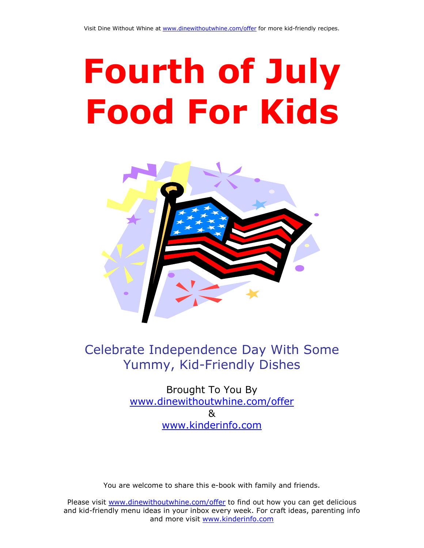# Fourth of July Food For Kids



## Celebrate Independence Day With Some Yummy, Kid-Friendly Dishes

Brought To You By [www.dinewithoutwhine.com/offer](http://www.dinewithoutwhine.com/offer)   $\mathsf{R}$ [www.kinderinfo.com](http://www.kinderinfo.com/)

You are welcome to share this e-book with family and friends.

Please visit [www.dinewithoutwhine.com/offer](http://www.dinewithoutwhine.com/offer) to find out how you can get delicious and kid-friendly menu ideas in your inbox every week. For craft ideas, parenting info and more visit [www.kinderinfo.com](http://www.kinderinfo.com/)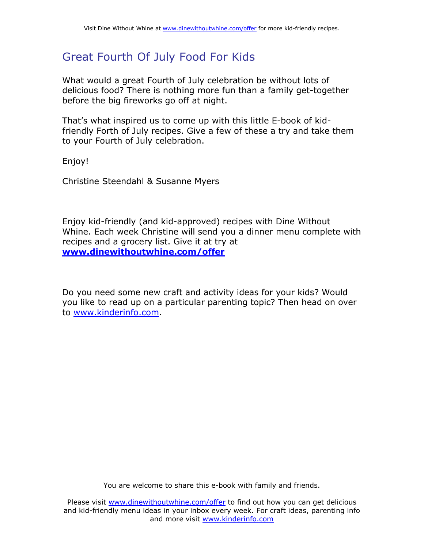## Great Fourth Of July Food For Kids

What would a great Fourth of July celebration be without lots of delicious food? There is nothing more fun than a family get-together before the big fireworks go off at night.

That's what inspired us to come up with this little E-book of kidfriendly Forth of July recipes. Give a few of these a try and take them to your Fourth of July celebration.

Enjoy!

Christine Steendahl & Susanne Myers

Enjoy kid-friendly (and kid-approved) recipes with Dine Without Whine. Each week Christine will send you a dinner menu complete with recipes and a grocery list. Give it at try at [www.dinewithoutwhine.com/offer](http://www.dinewithoutwhine.com/offer)

Do you need some new craft and activity ideas for your kids? Would you like to read up on a particular parenting topic? Then head on over to [www.kinderinfo.com.](http://www.kinderinfo.com/)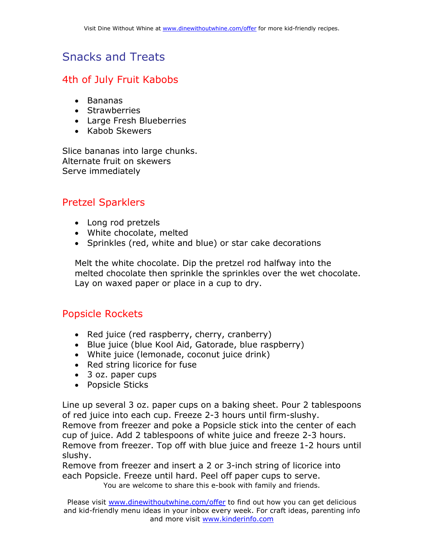## Snacks and Treats

#### 4th of July Fruit Kabobs

- Bananas
- Strawberries
- Large Fresh Blueberries
- Kabob Skewers

Slice bananas into large chunks. Alternate fruit on skewers Serve immediately

### Pretzel Sparklers

- Long rod pretzels
- White chocolate, melted
- Sprinkles (red, white and blue) or star cake decorations

Melt the white chocolate. Dip the pretzel rod halfway into the melted chocolate then sprinkle the sprinkles over the wet chocolate. Lay on waxed paper or place in a cup to dry.

#### Popsicle Rockets

- Red juice (red raspberry, cherry, cranberry)
- Blue juice (blue Kool Aid, Gatorade, blue raspberry)
- White juice (lemonade, coconut juice drink)
- Red string licorice for fuse
- 3 oz. paper cups
- Popsicle Sticks

Line up several 3 oz. paper cups on a baking sheet. Pour 2 tablespoons of red juice into each cup. Freeze 2-3 hours until firm-slushy. Remove from freezer and poke a Popsicle stick into the center of each cup of juice. Add 2 tablespoons of white juice and freeze 2-3 hours. Remove from freezer. Top off with blue juice and freeze 1-2 hours until slushy.

Remove from freezer and insert a 2 or 3-inch string of licorice into each Popsicle. Freeze until hard. Peel off paper cups to serve.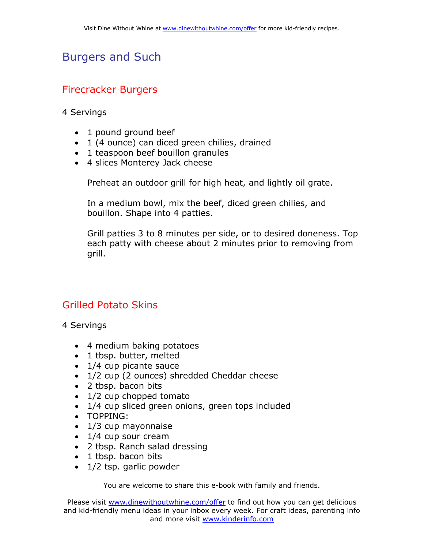## Burgers and Such

#### Firecracker Burgers

4 Servings

- 1 pound ground beef
- 1 (4 ounce) can diced green chilies, drained
- 1 teaspoon beef bouillon granules
- 4 slices Monterey Jack cheese

Preheat an outdoor grill for high heat, and lightly oil grate.

In a medium bowl, mix the beef, diced green chilies, and bouillon. Shape into 4 patties.

Grill patties 3 to 8 minutes per side, or to desired doneness. Top each patty with cheese about 2 minutes prior to removing from grill.

#### Grilled Potato Skins

4 Servings

- 4 medium baking potatoes
- 1 tbsp. butter, melted
- 1/4 cup picante sauce
- 1/2 cup (2 ounces) shredded Cheddar cheese
- 2 tbsp. bacon bits
- 1/2 cup chopped tomato
- 1/4 cup sliced green onions, green tops included
- TOPPING:
- 1/3 cup mayonnaise
- 1/4 cup sour cream
- 2 tbsp. Ranch salad dressing
- 1 tbsp. bacon bits
- 1/2 tsp. garlic powder

You are welcome to share this e-book with family and friends.

Please visit [www.dinewithoutwhine.com/offer](http://www.dinewithoutwhine.com/offer) to find out how you can get delicious and kid-friendly menu ideas in your inbox every week. For craft ideas, parenting info and more visit [www.kinderinfo.com](http://www.kinderinfo.com/)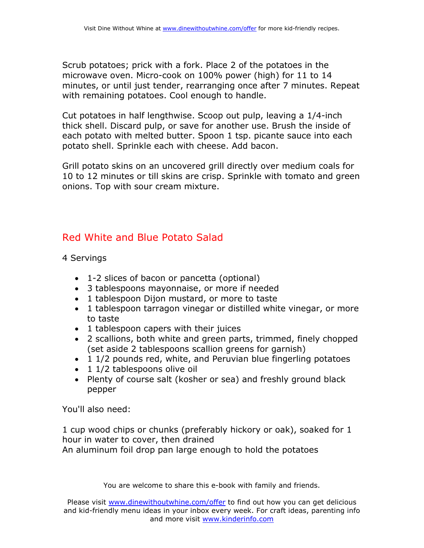Scrub potatoes; prick with a fork. Place 2 of the potatoes in the microwave oven. Micro-cook on 100% power (high) for 11 to 14 minutes, or until just tender, rearranging once after 7 minutes. Repeat with remaining potatoes. Cool enough to handle.

Cut potatoes in half lengthwise. Scoop out pulp, leaving a 1/4-inch thick shell. Discard pulp, or save for another use. Brush the inside of each potato with melted butter. Spoon 1 tsp. picante sauce into each potato shell. Sprinkle each with cheese. Add bacon.

Grill potato skins on an uncovered grill directly over medium coals for 10 to 12 minutes or till skins are crisp. Sprinkle with tomato and green onions. Top with sour cream mixture.

#### Red White and Blue Potato Salad

4 Servings

- 1-2 slices of bacon or pancetta (optional)
- 3 tablespoons mayonnaise, or more if needed
- 1 tablespoon Dijon mustard, or more to taste
- 1 tablespoon tarragon vinegar or distilled white vinegar, or more to taste
- 1 tablespoon capers with their juices
- 2 scallions, both white and green parts, trimmed, finely chopped (set aside 2 tablespoons scallion greens for garnish)
- 1 1/2 pounds red, white, and Peruvian blue fingerling potatoes
- 1 1/2 tablespoons olive oil
- Plenty of course salt (kosher or sea) and freshly ground black pepper

You'll also need:

1 cup wood chips or chunks (preferably hickory or oak), soaked for 1 hour in water to cover, then drained

An aluminum foil drop pan large enough to hold the potatoes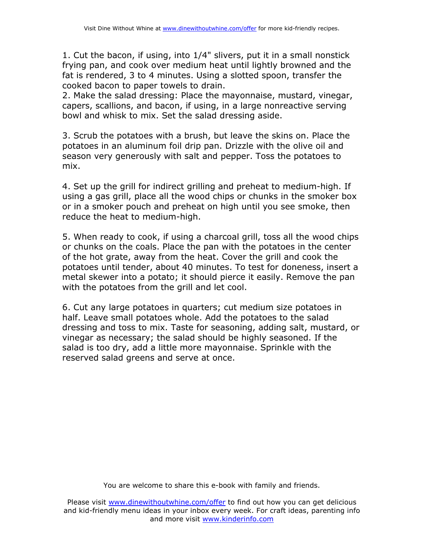1. Cut the bacon, if using, into 1/4" slivers, put it in a small nonstick frying pan, and cook over medium heat until lightly browned and the fat is rendered, 3 to 4 minutes. Using a slotted spoon, transfer the cooked bacon to paper towels to drain.

2. Make the salad dressing: Place the mayonnaise, mustard, vinegar, capers, scallions, and bacon, if using, in a large nonreactive serving bowl and whisk to mix. Set the salad dressing aside.

3. Scrub the potatoes with a brush, but leave the skins on. Place the potatoes in an aluminum foil drip pan. Drizzle with the olive oil and season very generously with salt and pepper. Toss the potatoes to mix.

4. Set up the grill for indirect grilling and preheat to medium-high. If using a gas grill, place all the wood chips or chunks in the smoker box or in a smoker pouch and preheat on high until you see smoke, then reduce the heat to medium-high.

5. When ready to cook, if using a charcoal grill, toss all the wood chips or chunks on the coals. Place the pan with the potatoes in the center of the hot grate, away from the heat. Cover the grill and cook the potatoes until tender, about 40 minutes. To test for doneness, insert a metal skewer into a potato; it should pierce it easily. Remove the pan with the potatoes from the grill and let cool.

6. Cut any large potatoes in quarters; cut medium size potatoes in half. Leave small potatoes whole. Add the potatoes to the salad dressing and toss to mix. Taste for seasoning, adding salt, mustard, or vinegar as necessary; the salad should be highly seasoned. If the salad is too dry, add a little more mayonnaise. Sprinkle with the reserved salad greens and serve at once.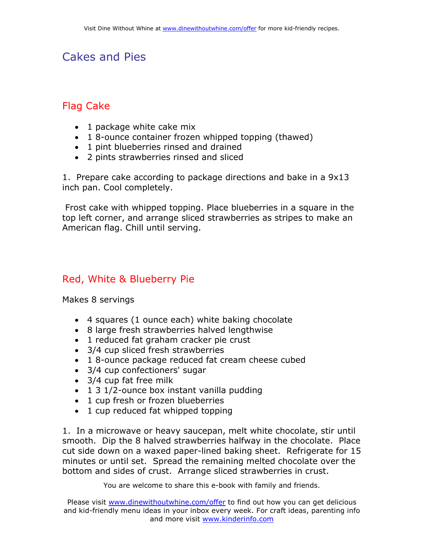## Cakes and Pies

#### Flag Cake

- 1 package white cake mix
- 1 8-ounce container frozen whipped topping (thawed)
- 1 pint blueberries rinsed and drained
- 2 pints strawberries rinsed and sliced

1. Prepare cake according to package directions and bake in a 9x13 inch pan. Cool completely.

 Frost cake with whipped topping. Place blueberries in a square in the top left corner, and arrange sliced strawberries as stripes to make an American flag. Chill until serving.

#### Red, White & Blueberry Pie

Makes 8 servings

- 4 squares (1 ounce each) white baking chocolate
- 8 large fresh strawberries halved lengthwise
- 1 reduced fat graham cracker pie crust
- 3/4 cup sliced fresh strawberries
- 1 8-ounce package reduced fat cream cheese cubed
- 3/4 cup confectioners' sugar
- 3/4 cup fat free milk
- 1 3 1/2-ounce box instant vanilla pudding
- 1 cup fresh or frozen blueberries
- 1 cup reduced fat whipped topping

1. In a microwave or heavy saucepan, melt white chocolate, stir until smooth. Dip the 8 halved strawberries halfway in the chocolate. Place cut side down on a waxed paper-lined baking sheet. Refrigerate for 15 minutes or until set. Spread the remaining melted chocolate over the bottom and sides of crust. Arrange sliced strawberries in crust.

You are welcome to share this e-book with family and friends.

Please visit [www.dinewithoutwhine.com/offer](http://www.dinewithoutwhine.com/offer) to find out how you can get delicious and kid-friendly menu ideas in your inbox every week. For craft ideas, parenting info and more visit [www.kinderinfo.com](http://www.kinderinfo.com/)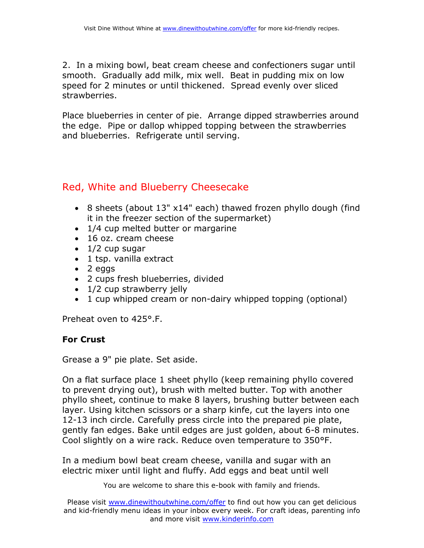2. In a mixing bowl, beat cream cheese and confectioners sugar until smooth. Gradually add milk, mix well. Beat in pudding mix on low speed for 2 minutes or until thickened. Spread evenly over sliced strawberries.

Place blueberries in center of pie. Arrange dipped strawberries around the edge. Pipe or dallop whipped topping between the strawberries and blueberries. Refrigerate until serving.

#### Red, White and Blueberry Cheesecake

- 8 sheets (about 13" x14" each) thawed frozen phyllo dough (find it in the freezer section of the supermarket)
- 1/4 cup melted butter or margarine
- 16 oz. cream cheese
- $\bullet$  1/2 cup sugar
- 1 tsp. vanilla extract
- 2 eggs
- 2 cups fresh blueberries, divided
- 1/2 cup strawberry jelly
- 1 cup whipped cream or non-dairy whipped topping (optional)

Preheat oven to 425°.F.

#### For Crust

Grease a 9" pie plate. Set aside.

On a flat surface place 1 sheet phyllo (keep remaining phyllo covered to prevent drying out), brush with melted butter. Top with another phyllo sheet, continue to make 8 layers, brushing butter between each layer. Using kitchen scissors or a sharp kinfe, cut the layers into one 12-13 inch circle. Carefully press circle into the prepared pie plate, gently fan edges. Bake until edges are just golden, about 6-8 minutes. Cool slightly on a wire rack. Reduce oven temperature to 350°F.

In a medium bowl beat cream cheese, vanilla and sugar with an electric mixer until light and fluffy. Add eggs and beat until well